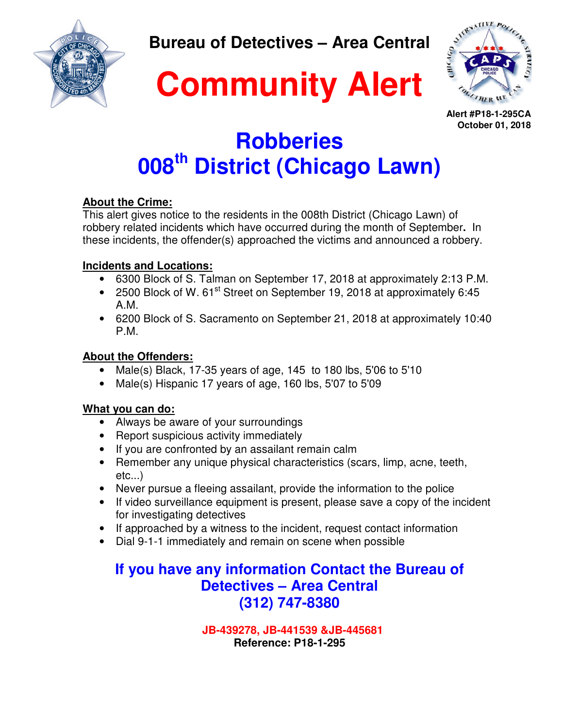**Bureau of Detectives – Area Central** 





**Alert #P18-1-295CA October 01, 2018**

# **Robberies 008th District (Chicago Lawn)**

**Community Alert**

### **About the Crime:**

This alert gives notice to the residents in the 008th District (Chicago Lawn) of robbery related incidents which have occurred during the month of September**.** In these incidents, the offender(s) approached the victims and announced a robbery.

### **Incidents and Locations:**

- 6300 Block of S. Talman on September 17, 2018 at approximately 2:13 P.M.
- 2500 Block of W. 61<sup>st</sup> Street on September 19, 2018 at approximately 6:45 A.M.
- 6200 Block of S. Sacramento on September 21, 2018 at approximately 10:40 P.M.

### **About the Offenders:**

- Male(s) Black, 17-35 years of age, 145 to 180 lbs, 5'06 to 5'10
- Male(s) Hispanic 17 years of age, 160 lbs, 5'07 to 5'09

### **What you can do:**

- Always be aware of your surroundings
- Report suspicious activity immediately
- If you are confronted by an assailant remain calm
- Remember any unique physical characteristics (scars, limp, acne, teeth, etc...)
- Never pursue a fleeing assailant, provide the information to the police
- If video surveillance equipment is present, please save a copy of the incident for investigating detectives
- If approached by a witness to the incident, request contact information
- Dial 9-1-1 immediately and remain on scene when possible

### **If you have any information Contact the Bureau of Detectives – Area Central (312) 747-8380**

 **JB-439278, JB-441539 &JB-445681 Reference: P18-1-295**